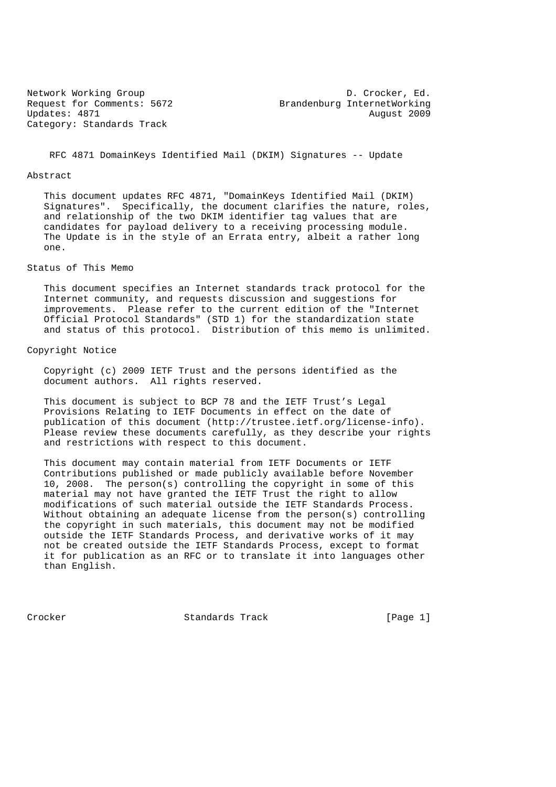Updates: 4871 August 2009 Category: Standards Track

Network Working Group and D. Crocker, Ed. Request for Comments: 5672 Brandenburg InternetWorking

RFC 4871 DomainKeys Identified Mail (DKIM) Signatures -- Update

#### Abstract

 This document updates RFC 4871, "DomainKeys Identified Mail (DKIM) Signatures". Specifically, the document clarifies the nature, roles, and relationship of the two DKIM identifier tag values that are candidates for payload delivery to a receiving processing module. The Update is in the style of an Errata entry, albeit a rather long one.

## Status of This Memo

 This document specifies an Internet standards track protocol for the Internet community, and requests discussion and suggestions for improvements. Please refer to the current edition of the "Internet Official Protocol Standards" (STD 1) for the standardization state and status of this protocol. Distribution of this memo is unlimited.

## Copyright Notice

 Copyright (c) 2009 IETF Trust and the persons identified as the document authors. All rights reserved.

 This document is subject to BCP 78 and the IETF Trust's Legal Provisions Relating to IETF Documents in effect on the date of publication of this document (http://trustee.ietf.org/license-info). Please review these documents carefully, as they describe your rights and restrictions with respect to this document.

 This document may contain material from IETF Documents or IETF Contributions published or made publicly available before November 10, 2008. The person(s) controlling the copyright in some of this material may not have granted the IETF Trust the right to allow modifications of such material outside the IETF Standards Process. Without obtaining an adequate license from the person(s) controlling the copyright in such materials, this document may not be modified outside the IETF Standards Process, and derivative works of it may not be created outside the IETF Standards Process, except to format it for publication as an RFC or to translate it into languages other than English.

Crocker Standards Track [Page 1]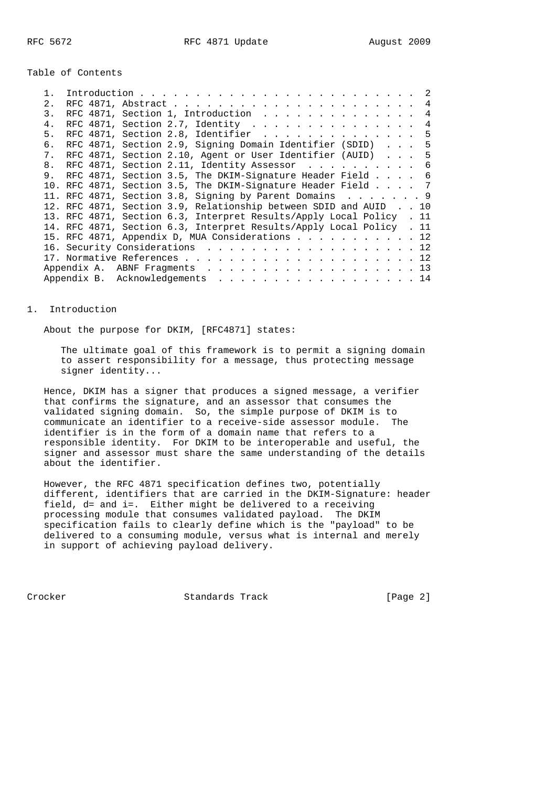Table of Contents

| 2.             |  |                                                                      |  |  |  |  |  |  |  | 4              |
|----------------|--|----------------------------------------------------------------------|--|--|--|--|--|--|--|----------------|
| $\mathcal{E}$  |  | RFC 4871, Section 1, Introduction                                    |  |  |  |  |  |  |  | 4              |
| $4$ .          |  |                                                                      |  |  |  |  |  |  |  | $\overline{4}$ |
| 5.             |  | RFC 4871, Section 2.8, Identifier $\ldots$                           |  |  |  |  |  |  |  | 5              |
| б.             |  | RFC 4871, Section 2.9, Signing Domain Identifier (SDID)              |  |  |  |  |  |  |  | 5              |
| 7 <sub>1</sub> |  | RFC 4871, Section 2.10, Agent or User Identifier (AUID) 5            |  |  |  |  |  |  |  |                |
| 8.             |  | RFC 4871, Section 2.11, Identity Assessor 6                          |  |  |  |  |  |  |  |                |
|                |  | 9. RFC 4871, Section 3.5, The DKIM-Signature Header Field 6          |  |  |  |  |  |  |  |                |
|                |  | 10. RFC 4871, Section 3.5, The DKIM-Signature Header Field 7         |  |  |  |  |  |  |  |                |
|                |  | 11. RFC 4871, Section 3.8, Signing by Parent Domains 9               |  |  |  |  |  |  |  |                |
|                |  | 12. RFC 4871, Section 3.9, Relationship between SDID and AUID 10     |  |  |  |  |  |  |  |                |
|                |  | 13. RFC 4871, Section 6.3, Interpret Results/Apply Local Policy . 11 |  |  |  |  |  |  |  |                |
|                |  | 14. RFC 4871, Section 6.3, Interpret Results/Apply Local Policy . 11 |  |  |  |  |  |  |  |                |
|                |  | 15. RFC 4871, Appendix D, MUA Considerations 12                      |  |  |  |  |  |  |  |                |
|                |  | 16. Security Considerations 12                                       |  |  |  |  |  |  |  |                |
|                |  |                                                                      |  |  |  |  |  |  |  |                |
|                |  | Appendix A. ABNF Fragments 13                                        |  |  |  |  |  |  |  |                |
|                |  | Appendix B. Acknowledgements 14                                      |  |  |  |  |  |  |  |                |
|                |  |                                                                      |  |  |  |  |  |  |  |                |

#### 1. Introduction

About the purpose for DKIM, [RFC4871] states:

 The ultimate goal of this framework is to permit a signing domain to assert responsibility for a message, thus protecting message signer identity...

 Hence, DKIM has a signer that produces a signed message, a verifier that confirms the signature, and an assessor that consumes the validated signing domain. So, the simple purpose of DKIM is to communicate an identifier to a receive-side assessor module. The identifier is in the form of a domain name that refers to a responsible identity. For DKIM to be interoperable and useful, the signer and assessor must share the same understanding of the details about the identifier.

 However, the RFC 4871 specification defines two, potentially different, identifiers that are carried in the DKIM-Signature: header field, d= and i=. Either might be delivered to a receiving processing module that consumes validated payload. The DKIM specification fails to clearly define which is the "payload" to be delivered to a consuming module, versus what is internal and merely in support of achieving payload delivery.

Crocker Standards Track [Page 2]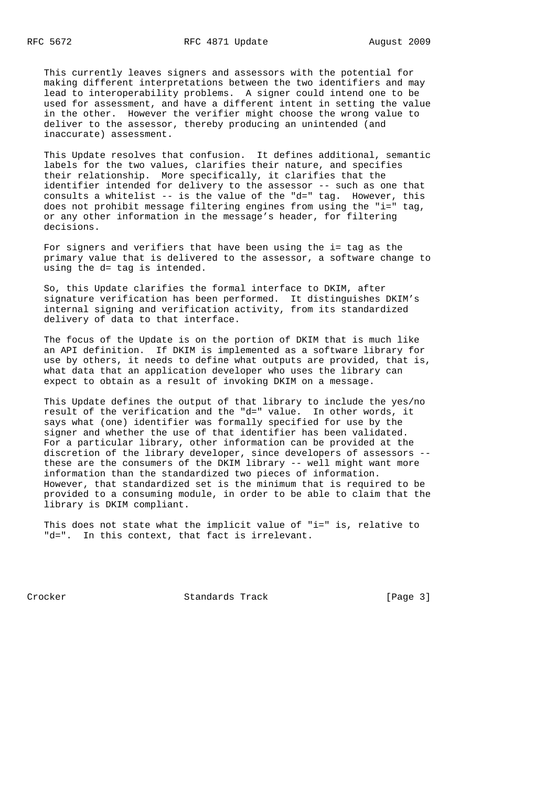This currently leaves signers and assessors with the potential for making different interpretations between the two identifiers and may lead to interoperability problems. A signer could intend one to be used for assessment, and have a different intent in setting the value in the other. However the verifier might choose the wrong value to deliver to the assessor, thereby producing an unintended (and inaccurate) assessment.

 This Update resolves that confusion. It defines additional, semantic labels for the two values, clarifies their nature, and specifies their relationship. More specifically, it clarifies that the identifier intended for delivery to the assessor -- such as one that consults a whitelist -- is the value of the "d=" tag. However, this does not prohibit message filtering engines from using the "i=" tag, or any other information in the message's header, for filtering decisions.

 For signers and verifiers that have been using the i= tag as the primary value that is delivered to the assessor, a software change to using the d= tag is intended.

 So, this Update clarifies the formal interface to DKIM, after signature verification has been performed. It distinguishes DKIM's internal signing and verification activity, from its standardized delivery of data to that interface.

 The focus of the Update is on the portion of DKIM that is much like an API definition. If DKIM is implemented as a software library for use by others, it needs to define what outputs are provided, that is, what data that an application developer who uses the library can expect to obtain as a result of invoking DKIM on a message.

 This Update defines the output of that library to include the yes/no result of the verification and the "d=" value. In other words, it says what (one) identifier was formally specified for use by the signer and whether the use of that identifier has been validated. For a particular library, other information can be provided at the discretion of the library developer, since developers of assessors - these are the consumers of the DKIM library -- well might want more information than the standardized two pieces of information. However, that standardized set is the minimum that is required to be provided to a consuming module, in order to be able to claim that the library is DKIM compliant.

 This does not state what the implicit value of "i=" is, relative to "d=". In this context, that fact is irrelevant.

Crocker **Standards Track** [Page 3]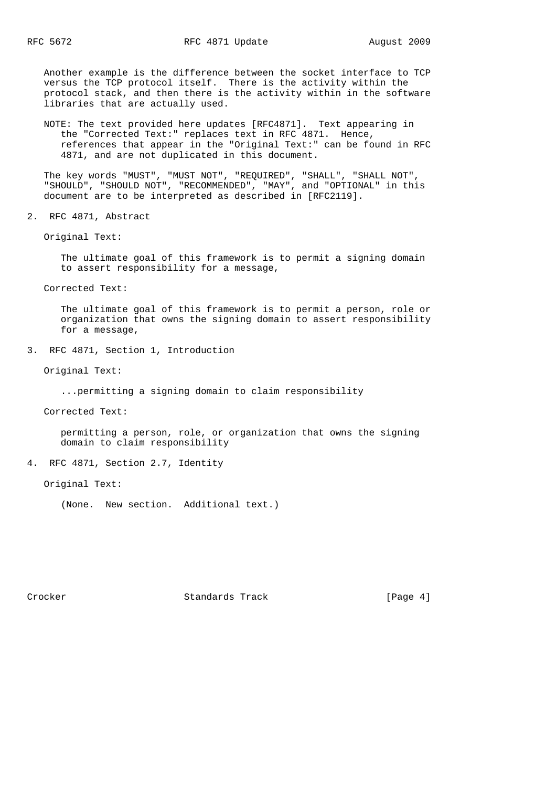Another example is the difference between the socket interface to TCP versus the TCP protocol itself. There is the activity within the protocol stack, and then there is the activity within in the software libraries that are actually used.

 NOTE: The text provided here updates [RFC4871]. Text appearing in the "Corrected Text:" replaces text in RFC 4871. Hence, references that appear in the "Original Text:" can be found in RFC 4871, and are not duplicated in this document.

 The key words "MUST", "MUST NOT", "REQUIRED", "SHALL", "SHALL NOT", "SHOULD", "SHOULD NOT", "RECOMMENDED", "MAY", and "OPTIONAL" in this document are to be interpreted as described in [RFC2119].

2. RFC 4871, Abstract

Original Text:

 The ultimate goal of this framework is to permit a signing domain to assert responsibility for a message,

Corrected Text:

 The ultimate goal of this framework is to permit a person, role or organization that owns the signing domain to assert responsibility for a message,

3. RFC 4871, Section 1, Introduction

Original Text:

...permitting a signing domain to claim responsibility

Corrected Text:

 permitting a person, role, or organization that owns the signing domain to claim responsibility

4. RFC 4871, Section 2.7, Identity

Original Text:

(None. New section. Additional text.)

Crocker **Standards Track** [Page 4]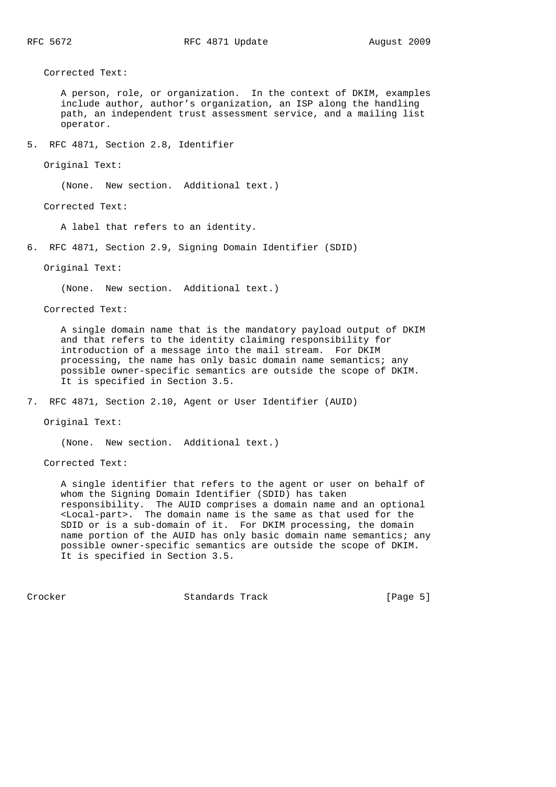Corrected Text:

 A person, role, or organization. In the context of DKIM, examples include author, author's organization, an ISP along the handling path, an independent trust assessment service, and a mailing list operator.

5. RFC 4871, Section 2.8, Identifier

Original Text:

(None. New section. Additional text.)

Corrected Text:

A label that refers to an identity.

6. RFC 4871, Section 2.9, Signing Domain Identifier (SDID)

Original Text:

(None. New section. Additional text.)

Corrected Text:

 A single domain name that is the mandatory payload output of DKIM and that refers to the identity claiming responsibility for introduction of a message into the mail stream. For DKIM processing, the name has only basic domain name semantics; any possible owner-specific semantics are outside the scope of DKIM. It is specified in Section 3.5.

7. RFC 4871, Section 2.10, Agent or User Identifier (AUID)

Original Text:

(None. New section. Additional text.)

Corrected Text:

 A single identifier that refers to the agent or user on behalf of whom the Signing Domain Identifier (SDID) has taken responsibility. The AUID comprises a domain name and an optional <Local-part>. The domain name is the same as that used for the SDID or is a sub-domain of it. For DKIM processing, the domain name portion of the AUID has only basic domain name semantics; any possible owner-specific semantics are outside the scope of DKIM. It is specified in Section 3.5.

Crocker **Standards Track** [Page 5]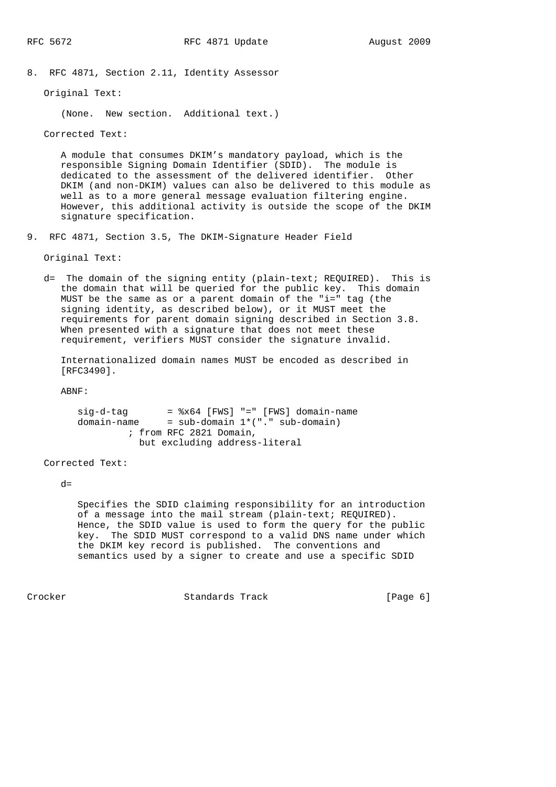8. RFC 4871, Section 2.11, Identity Assessor

Original Text:

(None. New section. Additional text.)

Corrected Text:

 A module that consumes DKIM's mandatory payload, which is the responsible Signing Domain Identifier (SDID). The module is dedicated to the assessment of the delivered identifier. Other DKIM (and non-DKIM) values can also be delivered to this module as well as to a more general message evaluation filtering engine. However, this additional activity is outside the scope of the DKIM signature specification.

9. RFC 4871, Section 3.5, The DKIM-Signature Header Field

Original Text:

 d= The domain of the signing entity (plain-text; REQUIRED). This is the domain that will be queried for the public key. This domain MUST be the same as or a parent domain of the "i=" tag (the signing identity, as described below), or it MUST meet the requirements for parent domain signing described in Section 3.8. When presented with a signature that does not meet these requirement, verifiers MUST consider the signature invalid.

 Internationalized domain names MUST be encoded as described in [RFC3490].

ABNF:

```
 sig-d-tag = %x64 [FWS] "=" [FWS] domain-name
domain-name = sub-domain 1*("." sub-domain)
               ; from RFC 2821 Domain,
                but excluding address-literal
```
Corrected Text:

 $d=$ 

 Specifies the SDID claiming responsibility for an introduction of a message into the mail stream (plain-text; REQUIRED). Hence, the SDID value is used to form the query for the public key. The SDID MUST correspond to a valid DNS name under which the DKIM key record is published. The conventions and semantics used by a signer to create and use a specific SDID

Crocker **Standards Track** [Page 6]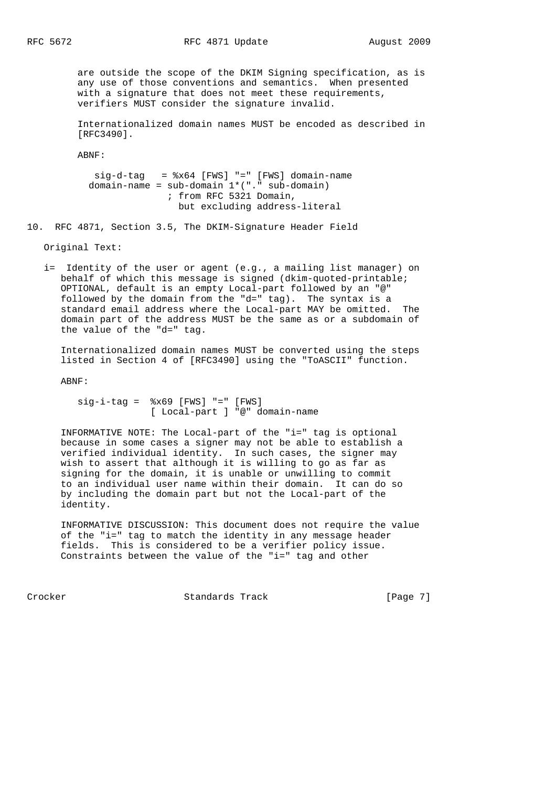are outside the scope of the DKIM Signing specification, as is any use of those conventions and semantics. When presented with a signature that does not meet these requirements, verifiers MUST consider the signature invalid.

 Internationalized domain names MUST be encoded as described in [RFC3490].

ABNF:

 $sig-d-taq =  $*x64$  [FWS] " =" [FWS] domain-name$ domain-name =  $sub-domain 1*(". " sub-domain)$  ; from RFC 5321 Domain, but excluding address-literal

10. RFC 4871, Section 3.5, The DKIM-Signature Header Field

Original Text:

 i= Identity of the user or agent (e.g., a mailing list manager) on behalf of which this message is signed (dkim-quoted-printable; OPTIONAL, default is an empty Local-part followed by an "@" followed by the domain from the "d=" tag). The syntax is a standard email address where the Local-part MAY be omitted. The domain part of the address MUST be the same as or a subdomain of the value of the "d=" tag.

 Internationalized domain names MUST be converted using the steps listed in Section 4 of [RFC3490] using the "ToASCII" function.

ABNF:

 $sig-i-taq =  $8x69$  [FWS] "-" [FWS]$ [ Local-part ] "@" domain-name

 INFORMATIVE NOTE: The Local-part of the "i=" tag is optional because in some cases a signer may not be able to establish a verified individual identity. In such cases, the signer may wish to assert that although it is willing to go as far as signing for the domain, it is unable or unwilling to commit to an individual user name within their domain. It can do so by including the domain part but not the Local-part of the identity.

 INFORMATIVE DISCUSSION: This document does not require the value of the "i=" tag to match the identity in any message header fields. This is considered to be a verifier policy issue. Constraints between the value of the "i=" tag and other

Crocker **Standards Track** [Page 7]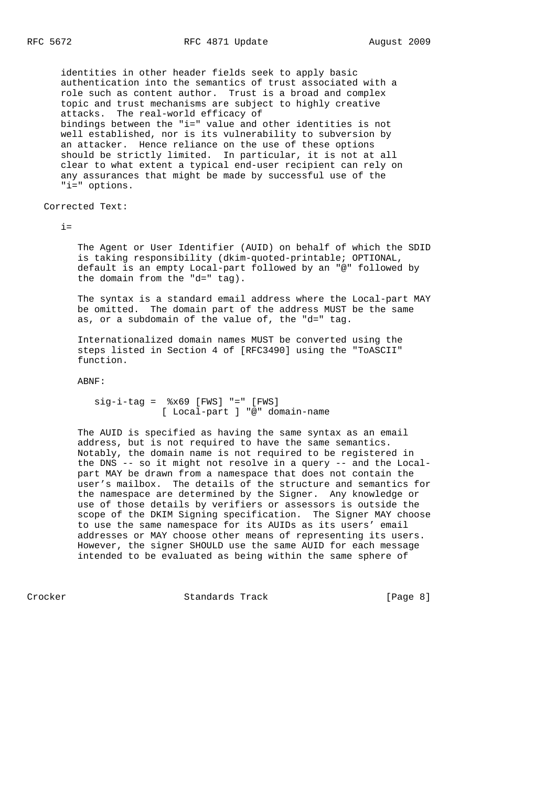identities in other header fields seek to apply basic authentication into the semantics of trust associated with a role such as content author. Trust is a broad and complex topic and trust mechanisms are subject to highly creative attacks. The real-world efficacy of bindings between the "i=" value and other identities is not well established, nor is its vulnerability to subversion by an attacker. Hence reliance on the use of these options should be strictly limited. In particular, it is not at all clear to what extent a typical end-user recipient can rely on any assurances that might be made by successful use of the "i=" options.

Corrected Text:

 $i=$ 

 The Agent or User Identifier (AUID) on behalf of which the SDID is taking responsibility (dkim-quoted-printable; OPTIONAL, default is an empty Local-part followed by an "@" followed by the domain from the "d=" tag).

 The syntax is a standard email address where the Local-part MAY be omitted. The domain part of the address MUST be the same as, or a subdomain of the value of, the "d=" tag.

 Internationalized domain names MUST be converted using the steps listed in Section 4 of [RFC3490] using the "ToASCII" function.

ABNF:

 $sig-i-taq =  $8x69$  [FWS] "-" [FWS]$ [ Local-part ] "@" domain-name

 The AUID is specified as having the same syntax as an email address, but is not required to have the same semantics. Notably, the domain name is not required to be registered in the DNS -- so it might not resolve in a query -- and the Local part MAY be drawn from a namespace that does not contain the user's mailbox. The details of the structure and semantics for the namespace are determined by the Signer. Any knowledge or use of those details by verifiers or assessors is outside the scope of the DKIM Signing specification. The Signer MAY choose to use the same namespace for its AUIDs as its users' email addresses or MAY choose other means of representing its users. However, the signer SHOULD use the same AUID for each message intended to be evaluated as being within the same sphere of

Crocker **Standards Track** [Page 8]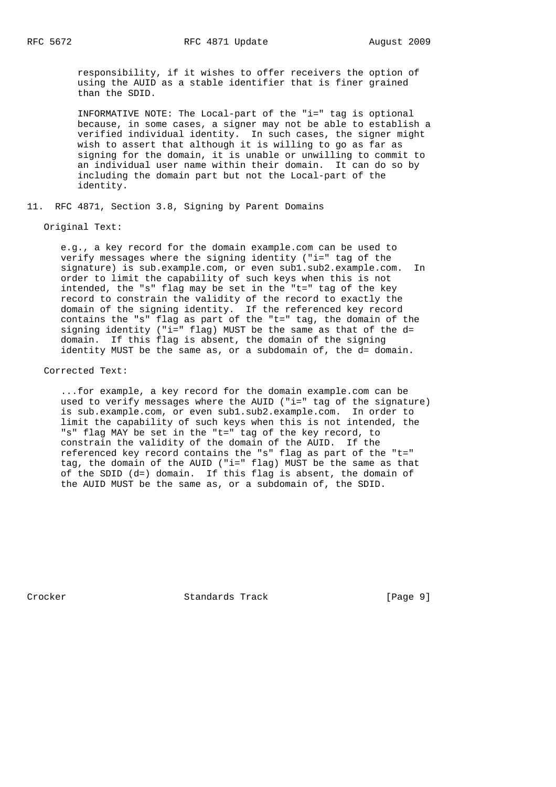responsibility, if it wishes to offer receivers the option of using the AUID as a stable identifier that is finer grained than the SDID.

 INFORMATIVE NOTE: The Local-part of the "i=" tag is optional because, in some cases, a signer may not be able to establish a verified individual identity. In such cases, the signer might wish to assert that although it is willing to go as far as signing for the domain, it is unable or unwilling to commit to an individual user name within their domain. It can do so by including the domain part but not the Local-part of the identity.

11. RFC 4871, Section 3.8, Signing by Parent Domains

#### Original Text:

 e.g., a key record for the domain example.com can be used to verify messages where the signing identity ("i=" tag of the signature) is sub.example.com, or even sub1.sub2.example.com. In order to limit the capability of such keys when this is not intended, the "s" flag may be set in the "t=" tag of the key record to constrain the validity of the record to exactly the domain of the signing identity. If the referenced key record contains the "s" flag as part of the "t=" tag, the domain of the signing identity ("i=" flag) MUST be the same as that of the d= domain. If this flag is absent, the domain of the signing identity MUST be the same as, or a subdomain of, the d= domain.

# Corrected Text:

 ...for example, a key record for the domain example.com can be used to verify messages where the AUID ("i=" tag of the signature) is sub.example.com, or even sub1.sub2.example.com. In order to limit the capability of such keys when this is not intended, the "s" flag MAY be set in the "t=" tag of the key record, to constrain the validity of the domain of the AUID. If the referenced key record contains the "s" flag as part of the "t=" tag, the domain of the AUID ("i=" flag) MUST be the same as that of the SDID (d=) domain. If this flag is absent, the domain of the AUID MUST be the same as, or a subdomain of, the SDID.

Crocker **Standards Track** [Page 9]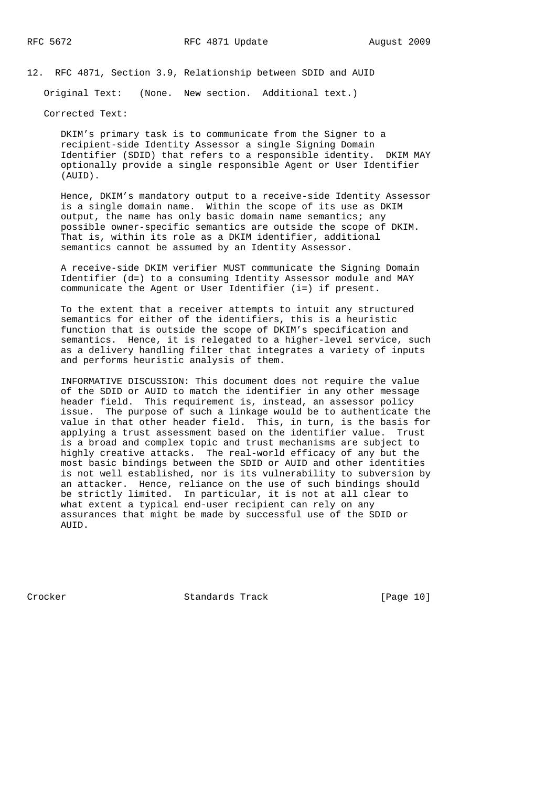12. RFC 4871, Section 3.9, Relationship between SDID and AUID

Original Text: (None. New section. Additional text.)

Corrected Text:

 DKIM's primary task is to communicate from the Signer to a recipient-side Identity Assessor a single Signing Domain Identifier (SDID) that refers to a responsible identity. DKIM MAY optionally provide a single responsible Agent or User Identifier (AUID).

 Hence, DKIM's mandatory output to a receive-side Identity Assessor is a single domain name. Within the scope of its use as DKIM output, the name has only basic domain name semantics; any possible owner-specific semantics are outside the scope of DKIM. That is, within its role as a DKIM identifier, additional semantics cannot be assumed by an Identity Assessor.

 A receive-side DKIM verifier MUST communicate the Signing Domain Identifier (d=) to a consuming Identity Assessor module and MAY communicate the Agent or User Identifier (i=) if present.

 To the extent that a receiver attempts to intuit any structured semantics for either of the identifiers, this is a heuristic function that is outside the scope of DKIM's specification and semantics. Hence, it is relegated to a higher-level service, such as a delivery handling filter that integrates a variety of inputs and performs heuristic analysis of them.

 INFORMATIVE DISCUSSION: This document does not require the value of the SDID or AUID to match the identifier in any other message header field. This requirement is, instead, an assessor policy issue. The purpose of such a linkage would be to authenticate the value in that other header field. This, in turn, is the basis for applying a trust assessment based on the identifier value. Trust is a broad and complex topic and trust mechanisms are subject to highly creative attacks. The real-world efficacy of any but the most basic bindings between the SDID or AUID and other identities is not well established, nor is its vulnerability to subversion by an attacker. Hence, reliance on the use of such bindings should be strictly limited. In particular, it is not at all clear to what extent a typical end-user recipient can rely on any assurances that might be made by successful use of the SDID or AUID.

Crocker Standards Track [Page 10]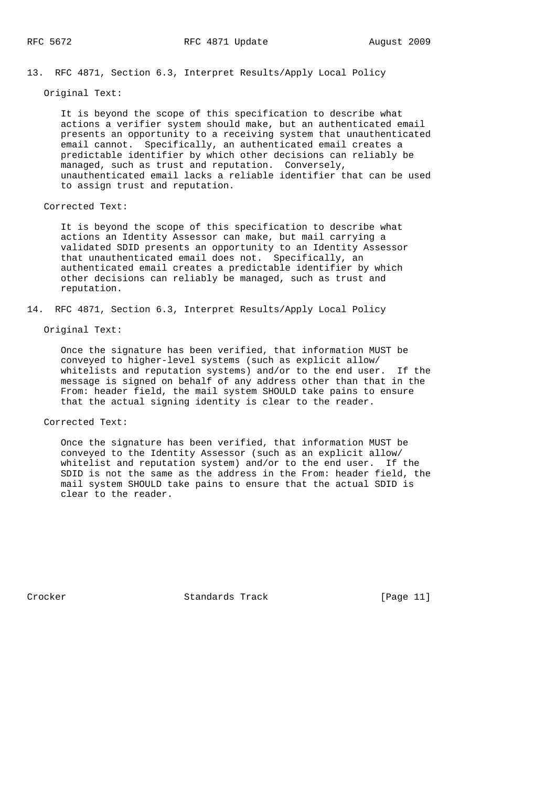13. RFC 4871, Section 6.3, Interpret Results/Apply Local Policy

Original Text:

 It is beyond the scope of this specification to describe what actions a verifier system should make, but an authenticated email presents an opportunity to a receiving system that unauthenticated email cannot. Specifically, an authenticated email creates a predictable identifier by which other decisions can reliably be managed, such as trust and reputation. Conversely, unauthenticated email lacks a reliable identifier that can be used to assign trust and reputation.

Corrected Text:

 It is beyond the scope of this specification to describe what actions an Identity Assessor can make, but mail carrying a validated SDID presents an opportunity to an Identity Assessor that unauthenticated email does not. Specifically, an authenticated email creates a predictable identifier by which other decisions can reliably be managed, such as trust and reputation.

14. RFC 4871, Section 6.3, Interpret Results/Apply Local Policy

## Original Text:

 Once the signature has been verified, that information MUST be conveyed to higher-level systems (such as explicit allow/ whitelists and reputation systems) and/or to the end user. If the message is signed on behalf of any address other than that in the From: header field, the mail system SHOULD take pains to ensure that the actual signing identity is clear to the reader.

Corrected Text:

 Once the signature has been verified, that information MUST be conveyed to the Identity Assessor (such as an explicit allow/ whitelist and reputation system) and/or to the end user. If the SDID is not the same as the address in the From: header field, the mail system SHOULD take pains to ensure that the actual SDID is clear to the reader.

Crocker Standards Track [Page 11]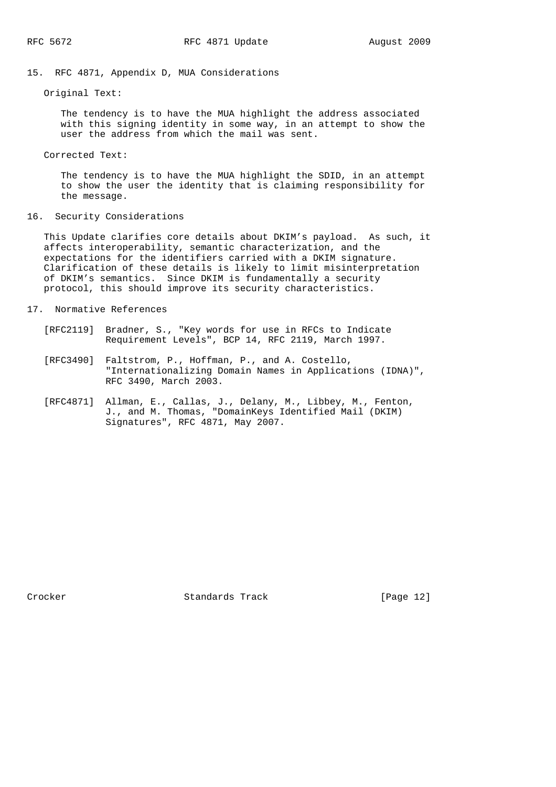# 15. RFC 4871, Appendix D, MUA Considerations

Original Text:

 The tendency is to have the MUA highlight the address associated with this signing identity in some way, in an attempt to show the user the address from which the mail was sent.

Corrected Text:

 The tendency is to have the MUA highlight the SDID, in an attempt to show the user the identity that is claiming responsibility for the message.

16. Security Considerations

 This Update clarifies core details about DKIM's payload. As such, it affects interoperability, semantic characterization, and the expectations for the identifiers carried with a DKIM signature. Clarification of these details is likely to limit misinterpretation of DKIM's semantics. Since DKIM is fundamentally a security protocol, this should improve its security characteristics.

- 17. Normative References
	- [RFC2119] Bradner, S., "Key words for use in RFCs to Indicate Requirement Levels", BCP 14, RFC 2119, March 1997.
	- [RFC3490] Faltstrom, P., Hoffman, P., and A. Costello, "Internationalizing Domain Names in Applications (IDNA)", RFC 3490, March 2003.
	- [RFC4871] Allman, E., Callas, J., Delany, M., Libbey, M., Fenton, J., and M. Thomas, "DomainKeys Identified Mail (DKIM) Signatures", RFC 4871, May 2007.

Crocker Standards Track [Page 12]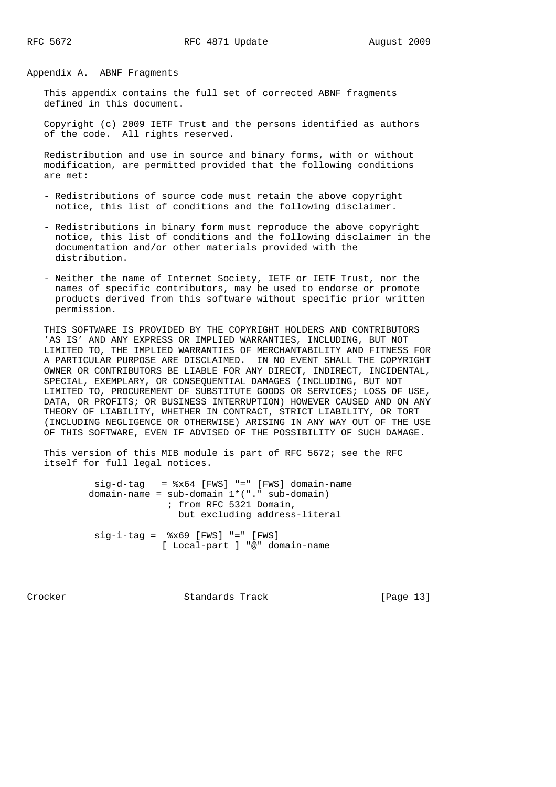Appendix A. ABNF Fragments

 This appendix contains the full set of corrected ABNF fragments defined in this document.

 Copyright (c) 2009 IETF Trust and the persons identified as authors of the code. All rights reserved.

 Redistribution and use in source and binary forms, with or without modification, are permitted provided that the following conditions are met:

- Redistributions of source code must retain the above copyright notice, this list of conditions and the following disclaimer.
- Redistributions in binary form must reproduce the above copyright notice, this list of conditions and the following disclaimer in the documentation and/or other materials provided with the distribution.
- Neither the name of Internet Society, IETF or IETF Trust, nor the names of specific contributors, may be used to endorse or promote products derived from this software without specific prior written permission.

 THIS SOFTWARE IS PROVIDED BY THE COPYRIGHT HOLDERS AND CONTRIBUTORS 'AS IS' AND ANY EXPRESS OR IMPLIED WARRANTIES, INCLUDING, BUT NOT LIMITED TO, THE IMPLIED WARRANTIES OF MERCHANTABILITY AND FITNESS FOR A PARTICULAR PURPOSE ARE DISCLAIMED. IN NO EVENT SHALL THE COPYRIGHT OWNER OR CONTRIBUTORS BE LIABLE FOR ANY DIRECT, INDIRECT, INCIDENTAL, SPECIAL, EXEMPLARY, OR CONSEQUENTIAL DAMAGES (INCLUDING, BUT NOT LIMITED TO, PROCUREMENT OF SUBSTITUTE GOODS OR SERVICES; LOSS OF USE, DATA, OR PROFITS; OR BUSINESS INTERRUPTION) HOWEVER CAUSED AND ON ANY THEORY OF LIABILITY, WHETHER IN CONTRACT, STRICT LIABILITY, OR TORT (INCLUDING NEGLIGENCE OR OTHERWISE) ARISING IN ANY WAY OUT OF THE USE OF THIS SOFTWARE, EVEN IF ADVISED OF THE POSSIBILITY OF SUCH DAMAGE.

 This version of this MIB module is part of RFC 5672; see the RFC itself for full legal notices.

> sig-d-tag = %x64 [FWS] "=" [FWS] domain-name domain-name =  $sub$ -domain  $1*($  "."  $sub$ -domain) ; from RFC 5321 Domain, but excluding address-literal sig-i-tag = %x69 [FWS] "=" [FWS] [ Local-part ] "@" domain-name

Crocker Standards Track [Page 13]